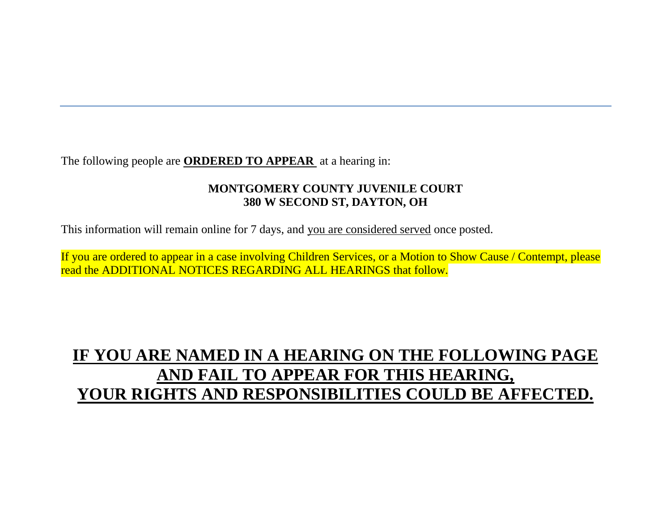The following people are **ORDERED TO APPEAR** at a hearing in:

### **MONTGOMERY COUNTY JUVENILE COURT 380 W SECOND ST, DAYTON, OH**

This information will remain online for 7 days, and you are considered served once posted.

If you are ordered to appear in a case involving Children Services, or a Motion to Show Cause / Contempt, please read the ADDITIONAL NOTICES REGARDING ALL HEARINGS that follow.

# **IF YOU ARE NAMED IN A HEARING ON THE FOLLOWING PAGE AND FAIL TO APPEAR FOR THIS HEARING, YOUR RIGHTS AND RESPONSIBILITIES COULD BE AFFECTED.**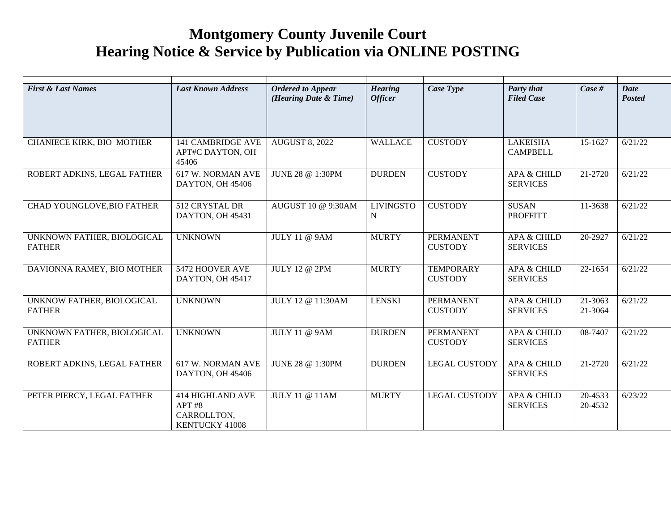## **Montgomery County Juvenile Court Hearing Notice & Service by Publication via ONLINE POSTING**

| <b>First &amp; Last Names</b>               | <b>Last Known Address</b>                                          | <b>Ordered to Appear</b><br>(Hearing Date & Time) | <b>Hearing</b><br><b>Officer</b> | Case Type                          | <b>Party that</b><br><b>Filed Case</b>    | Case #             | <b>Date</b><br>Posted |
|---------------------------------------------|--------------------------------------------------------------------|---------------------------------------------------|----------------------------------|------------------------------------|-------------------------------------------|--------------------|-----------------------|
| CHANIECE KIRK, BIO MOTHER                   | <b>141 CAMBRIDGE AVE</b><br>APT#C DAYTON, OH<br>45406              | <b>AUGUST 8, 2022</b>                             | <b>WALLACE</b>                   | <b>CUSTODY</b>                     | <b>LAKEISHA</b><br><b>CAMPBELL</b>        | 15-1627            | 6/21/22               |
| ROBERT ADKINS, LEGAL FATHER                 | 617 W. NORMAN AVE<br>DAYTON, OH 45406                              | JUNE 28 @ 1:30PM                                  | <b>DURDEN</b>                    | <b>CUSTODY</b>                     | <b>APA &amp; CHILD</b><br><b>SERVICES</b> | 21-2720            | 6/21/22               |
| CHAD YOUNGLOVE, BIO FATHER                  | 512 CRYSTAL DR<br>DAYTON, OH 45431                                 | AUGUST 10 @ 9:30AM                                | <b>LIVINGSTO</b><br>N            | <b>CUSTODY</b>                     | <b>SUSAN</b><br><b>PROFFITT</b>           | 11-3638            | 6/21/22               |
| UNKNOWN FATHER, BIOLOGICAL<br><b>FATHER</b> | <b>UNKNOWN</b>                                                     | <b>JULY 11 @ 9AM</b>                              | <b>MURTY</b>                     | <b>PERMANENT</b><br><b>CUSTODY</b> | <b>APA &amp; CHILD</b><br><b>SERVICES</b> | 20-2927            | 6/21/22               |
| DAVIONNA RAMEY, BIO MOTHER                  | 5472 HOOVER AVE<br>DAYTON, OH 45417                                | <b>JULY 12 @ 2PM</b>                              | <b>MURTY</b>                     | <b>TEMPORARY</b><br><b>CUSTODY</b> | <b>APA &amp; CHILD</b><br><b>SERVICES</b> | 22-1654            | 6/21/22               |
| UNKNOW FATHER, BIOLOGICAL<br><b>FATHER</b>  | <b>UNKNOWN</b>                                                     | JULY 12 @ 11:30AM                                 | <b>LENSKI</b>                    | <b>PERMANENT</b><br><b>CUSTODY</b> | <b>APA &amp; CHILD</b><br><b>SERVICES</b> | 21-3063<br>21-3064 | 6/21/22               |
| UNKNOWN FATHER, BIOLOGICAL<br><b>FATHER</b> | <b>UNKNOWN</b>                                                     | <b>JULY 11 @ 9AM</b>                              | <b>DURDEN</b>                    | <b>PERMANENT</b><br><b>CUSTODY</b> | <b>APA &amp; CHILD</b><br><b>SERVICES</b> | 08-7407            | 6/21/22               |
| ROBERT ADKINS, LEGAL FATHER                 | 617 W. NORMAN AVE<br>DAYTON, OH 45406                              | JUNE 28 @ 1:30PM                                  | <b>DURDEN</b>                    | <b>LEGAL CUSTODY</b>               | APA & CHILD<br><b>SERVICES</b>            | 21-2720            | 6/21/22               |
| PETER PIERCY, LEGAL FATHER                  | <b>414 HIGHLAND AVE</b><br>APT #8<br>CARROLLTON,<br>KENTUCKY 41008 | <b>JULY 11 @ 11AM</b>                             | <b>MURTY</b>                     | <b>LEGAL CUSTODY</b>               | <b>APA &amp; CHILD</b><br><b>SERVICES</b> | 20-4533<br>20-4532 | 6/23/22               |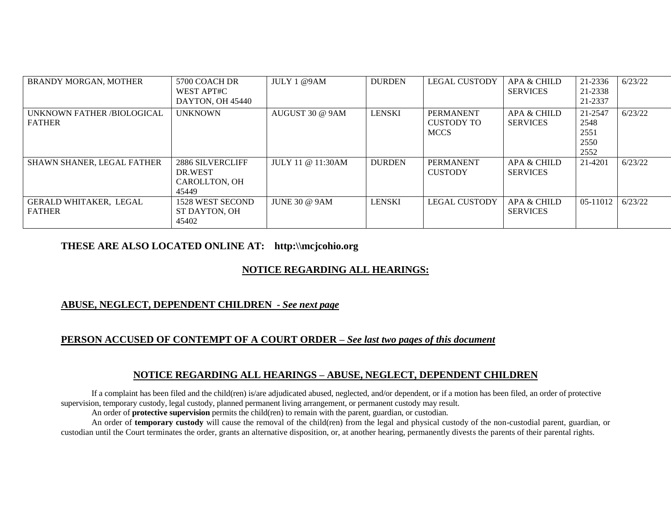| <b>BRANDY MORGAN, MOTHER</b>                | 5700 COACH DR<br>WEST APT#C                           | JULY 1 @9AM          | <b>DURDEN</b> | <b>LEGAL CUSTODY</b>                          | APA & CHILD<br><b>SERVICES</b> | 21-2336<br>21-2338                      | 6/23/22 |
|---------------------------------------------|-------------------------------------------------------|----------------------|---------------|-----------------------------------------------|--------------------------------|-----------------------------------------|---------|
|                                             | DAYTON, OH 45440                                      |                      |               |                                               |                                | 21-2337                                 |         |
| UNKNOWN FATHER /BIOLOGICAL<br><b>FATHER</b> | <b>UNKNOWN</b>                                        | AUGUST 30 @ 9AM      | <b>LENSKI</b> | <b>PERMANENT</b><br>CUSTODY TO<br><b>MCCS</b> | APA & CHILD<br><b>SERVICES</b> | 21-2547<br>2548<br>2551<br>2550<br>2552 | 6/23/22 |
| <b>SHAWN SHANER, LEGAL FATHER</b>           | 2886 SILVERCLIFF<br>DR.WEST<br>CAROLLTON, OH<br>45449 | JULY 11 @ 11:30AM    | <b>DURDEN</b> | <b>PERMANENT</b><br><b>CUSTODY</b>            | APA & CHILD<br><b>SERVICES</b> | 21-4201                                 | 6/23/22 |
| GERALD WHITAKER, LEGAL<br><b>FATHER</b>     | 1528 WEST SECOND<br>ST DAYTON, OH<br>45402            | <b>JUNE 30 @ 9AM</b> | <b>LENSKI</b> | LEGAL CUSTODY                                 | APA & CHILD<br><b>SERVICES</b> | 05-11012                                | 6/23/22 |

#### **THESE ARE ALSO LOCATED ONLINE AT: http:\\mcjcohio.org**

#### **NOTICE REGARDING ALL HEARINGS:**

#### **ABUSE, NEGLECT, DEPENDENT CHILDREN -** *See next page*

#### **PERSON ACCUSED OF CONTEMPT OF A COURT ORDER –** *See last two pages of this document*

#### **NOTICE REGARDING ALL HEARINGS – ABUSE, NEGLECT, DEPENDENT CHILDREN**

If a complaint has been filed and the child(ren) is/are adjudicated abused, neglected, and/or dependent, or if a motion has been filed, an order of protective supervision, temporary custody, legal custody, planned permanent living arrangement, or permanent custody may result.

An order of **protective supervision** permits the child(ren) to remain with the parent, guardian, or custodian.

An order of **temporary custody** will cause the removal of the child(ren) from the legal and physical custody of the non-custodial parent, guardian, or custodian until the Court terminates the order, grants an alternative disposition, or, at another hearing, permanently divests the parents of their parental rights.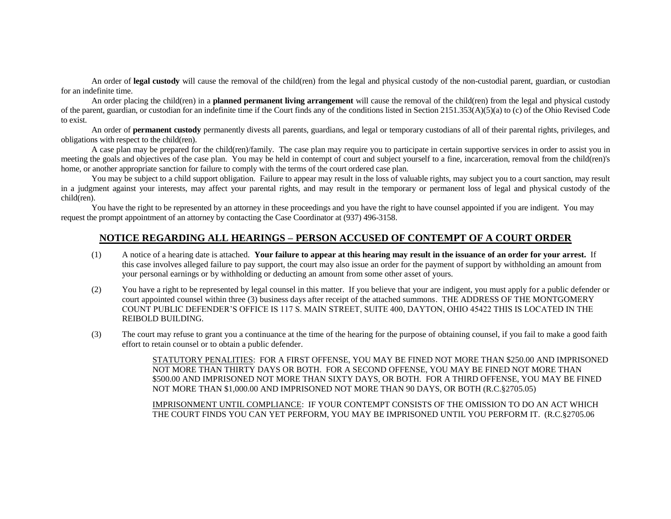An order of **legal custody** will cause the removal of the child(ren) from the legal and physical custody of the non-custodial parent, guardian, or custodian for an indefinite time.

An order placing the child(ren) in a **planned permanent living arrangement** will cause the removal of the child(ren) from the legal and physical custody of the parent, guardian, or custodian for an indefinite time if the Court finds any of the conditions listed in Section 2151.353(A)(5)(a) to (c) of the Ohio Revised Code to exist.

An order of **permanent custody** permanently divests all parents, guardians, and legal or temporary custodians of all of their parental rights, privileges, and obligations with respect to the child(ren).

A case plan may be prepared for the child(ren)/family. The case plan may require you to participate in certain supportive services in order to assist you in meeting the goals and objectives of the case plan. You may be held in contempt of court and subject yourself to a fine, incarceration, removal from the child(ren)'s home, or another appropriate sanction for failure to comply with the terms of the court ordered case plan.

You may be subject to a child support obligation. Failure to appear may result in the loss of valuable rights, may subject you to a court sanction, may result in a judgment against your interests, may affect your parental rights, and may result in the temporary or permanent loss of legal and physical custody of the child(ren).

You have the right to be represented by an attorney in these proceedings and you have the right to have counsel appointed if you are indigent. You may request the prompt appointment of an attorney by contacting the Case Coordinator at (937) 496-3158.

#### **NOTICE REGARDING ALL HEARINGS – PERSON ACCUSED OF CONTEMPT OF A COURT ORDER**

- (1) A notice of a hearing date is attached. **Your failure to appear at this hearing may result in the issuance of an order for your arrest.** If this case involves alleged failure to pay support, the court may also issue an order for the payment of support by withholding an amount from your personal earnings or by withholding or deducting an amount from some other asset of yours.
- (2) You have a right to be represented by legal counsel in this matter. If you believe that your are indigent, you must apply for a public defender or court appointed counsel within three (3) business days after receipt of the attached summons. THE ADDRESS OF THE MONTGOMERY COUNT PUBLIC DEFENDER'S OFFICE IS 117 S. MAIN STREET, SUITE 400, DAYTON, OHIO 45422 THIS IS LOCATED IN THE REIBOLD BUILDING.
- (3) The court may refuse to grant you a continuance at the time of the hearing for the purpose of obtaining counsel, if you fail to make a good faith effort to retain counsel or to obtain a public defender.

STATUTORY PENALITIES: FOR A FIRST OFFENSE, YOU MAY BE FINED NOT MORE THAN \$250.00 AND IMPRISONED NOT MORE THAN THIRTY DAYS OR BOTH. FOR A SECOND OFFENSE, YOU MAY BE FINED NOT MORE THAN \$500.00 AND IMPRISONED NOT MORE THAN SIXTY DAYS, OR BOTH. FOR A THIRD OFFENSE, YOU MAY BE FINED NOT MORE THAN \$1,000.00 AND IMPRISONED NOT MORE THAN 90 DAYS, OR BOTH (R.C.§2705.05)

IMPRISONMENT UNTIL COMPLIANCE: IF YOUR CONTEMPT CONSISTS OF THE OMISSION TO DO AN ACT WHICH THE COURT FINDS YOU CAN YET PERFORM, YOU MAY BE IMPRISONED UNTIL YOU PERFORM IT. (R.C.§2705.06